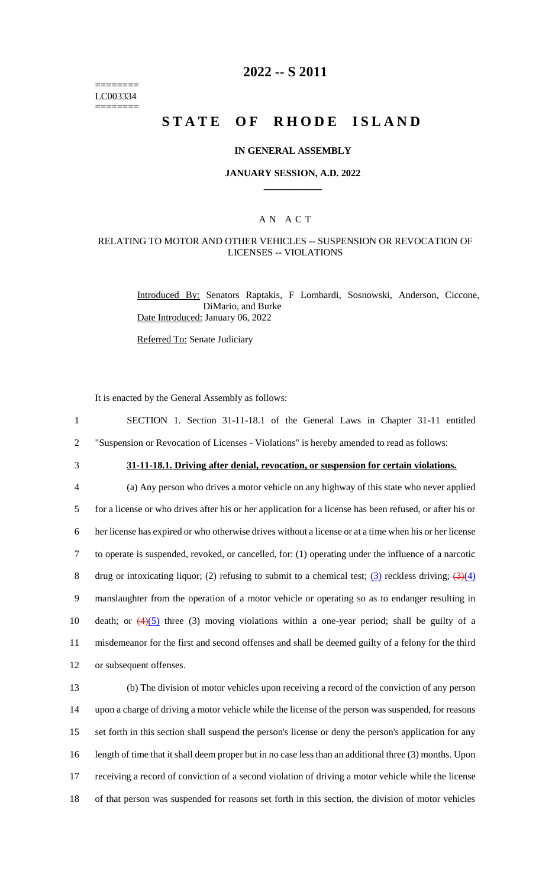======== LC003334  $=$ 

# **2022 -- S 2011**

# **STATE OF RHODE ISLAND**

#### **IN GENERAL ASSEMBLY**

### **JANUARY SESSION, A.D. 2022 \_\_\_\_\_\_\_\_\_\_\_\_**

### A N A C T

### RELATING TO MOTOR AND OTHER VEHICLES -- SUSPENSION OR REVOCATION OF LICENSES -- VIOLATIONS

Introduced By: Senators Raptakis, F Lombardi, Sosnowski, Anderson, Ciccone, DiMario, and Burke Date Introduced: January 06, 2022

Referred To: Senate Judiciary

It is enacted by the General Assembly as follows:

| $\mathbf{1}$   | SECTION 1. Section 31-11-18.1 of the General Laws in Chapter 31-11 entitled                                     |
|----------------|-----------------------------------------------------------------------------------------------------------------|
| $\overline{2}$ | "Suspension or Revocation of Licenses - Violations" is hereby amended to read as follows:                       |
| 3              | 31-11-18.1. Driving after denial, revocation, or suspension for certain violations.                             |
| 4              | (a) Any person who drives a motor vehicle on any highway of this state who never applied                        |
| 5              | for a license or who drives after his or her application for a license has been refused, or after his or        |
| 6              | her license has expired or who otherwise drives without a license or at a time when his or her license          |
| $\overline{7}$ | to operate is suspended, revoked, or cancelled, for: (1) operating under the influence of a narcotic            |
| 8              | drug or intoxicating liquor; (2) refusing to submit to a chemical test; (3) reckless driving; $(3)(4)$          |
| 9              | manslaughter from the operation of a motor vehicle or operating so as to endanger resulting in                  |
| 10             | death; or $\left(\frac{4}{5}\right)$ three (3) moving violations within a one-year period; shall be guilty of a |
| 11             | misdemeanor for the first and second offenses and shall be deemed guilty of a felony for the third              |
| 12             | or subsequent offenses.                                                                                         |
| 13             | (b) The division of motor vehicles upon receiving a record of the conviction of any person                      |
| 14             | upon a charge of driving a motor vehicle while the license of the person was suspended, for reasons             |
| 15             | set forth in this section shall suspend the person's license or deny the person's application for any           |
| 16             | length of time that it shall deem proper but in no case less than an additional three (3) months. Upon          |
|                |                                                                                                                 |

17 receiving a record of conviction of a second violation of driving a motor vehicle while the license

18 of that person was suspended for reasons set forth in this section, the division of motor vehicles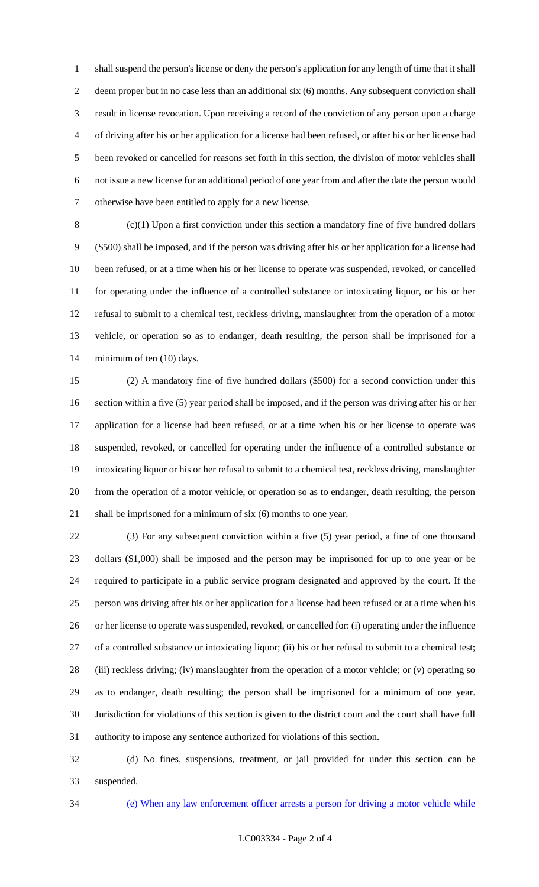shall suspend the person's license or deny the person's application for any length of time that it shall deem proper but in no case less than an additional six (6) months. Any subsequent conviction shall result in license revocation. Upon receiving a record of the conviction of any person upon a charge of driving after his or her application for a license had been refused, or after his or her license had been revoked or cancelled for reasons set forth in this section, the division of motor vehicles shall not issue a new license for an additional period of one year from and after the date the person would otherwise have been entitled to apply for a new license.

 (c)(1) Upon a first conviction under this section a mandatory fine of five hundred dollars (\$500) shall be imposed, and if the person was driving after his or her application for a license had been refused, or at a time when his or her license to operate was suspended, revoked, or cancelled for operating under the influence of a controlled substance or intoxicating liquor, or his or her refusal to submit to a chemical test, reckless driving, manslaughter from the operation of a motor vehicle, or operation so as to endanger, death resulting, the person shall be imprisoned for a 14 minimum of ten (10) days.

 (2) A mandatory fine of five hundred dollars (\$500) for a second conviction under this section within a five (5) year period shall be imposed, and if the person was driving after his or her application for a license had been refused, or at a time when his or her license to operate was suspended, revoked, or cancelled for operating under the influence of a controlled substance or intoxicating liquor or his or her refusal to submit to a chemical test, reckless driving, manslaughter from the operation of a motor vehicle, or operation so as to endanger, death resulting, the person shall be imprisoned for a minimum of six (6) months to one year.

 (3) For any subsequent conviction within a five (5) year period, a fine of one thousand dollars (\$1,000) shall be imposed and the person may be imprisoned for up to one year or be required to participate in a public service program designated and approved by the court. If the person was driving after his or her application for a license had been refused or at a time when his or her license to operate was suspended, revoked, or cancelled for: (i) operating under the influence of a controlled substance or intoxicating liquor; (ii) his or her refusal to submit to a chemical test; (iii) reckless driving; (iv) manslaughter from the operation of a motor vehicle; or (v) operating so as to endanger, death resulting; the person shall be imprisoned for a minimum of one year. Jurisdiction for violations of this section is given to the district court and the court shall have full authority to impose any sentence authorized for violations of this section.

 (d) No fines, suspensions, treatment, or jail provided for under this section can be suspended.

(e) When any law enforcement officer arrests a person for driving a motor vehicle while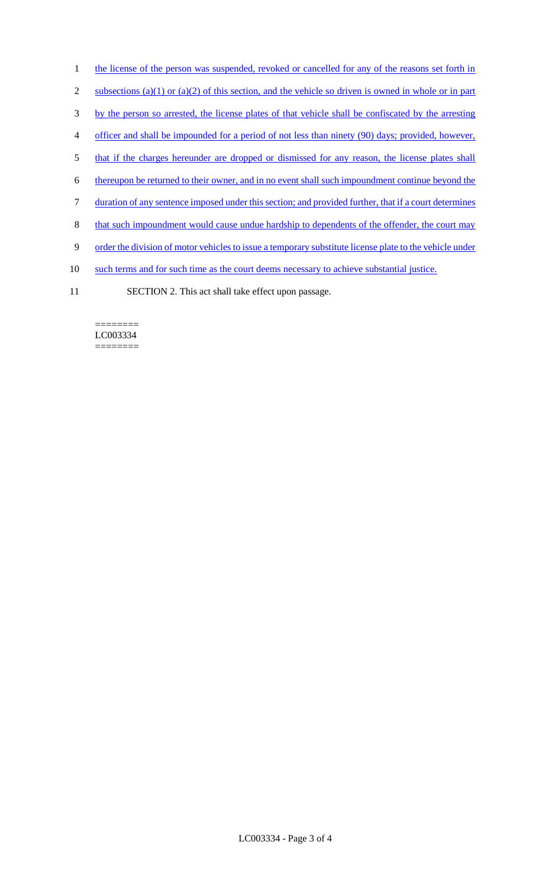- 1 the license of the person was suspended, revoked or cancelled for any of the reasons set forth in
- 2 subsections (a)(1) or (a)(2) of this section, and the vehicle so driven is owned in whole or in part
- 3 by the person so arrested, the license plates of that vehicle shall be confiscated by the arresting
- 4 officer and shall be impounded for a period of not less than ninety (90) days; provided, however,
- 5 that if the charges hereunder are dropped or dismissed for any reason, the license plates shall
- 6 thereupon be returned to their owner, and in no event shall such impoundment continue beyond the
- 7 duration of any sentence imposed under this section; and provided further, that if a court determines
- 8 that such impoundment would cause undue hardship to dependents of the offender, the court may
- 9 order the division of motor vehicles to issue a temporary substitute license plate to the vehicle under
- 10 such terms and for such time as the court deems necessary to achieve substantial justice.
- 11 SECTION 2. This act shall take effect upon passage.

#### ======== LC003334 ========